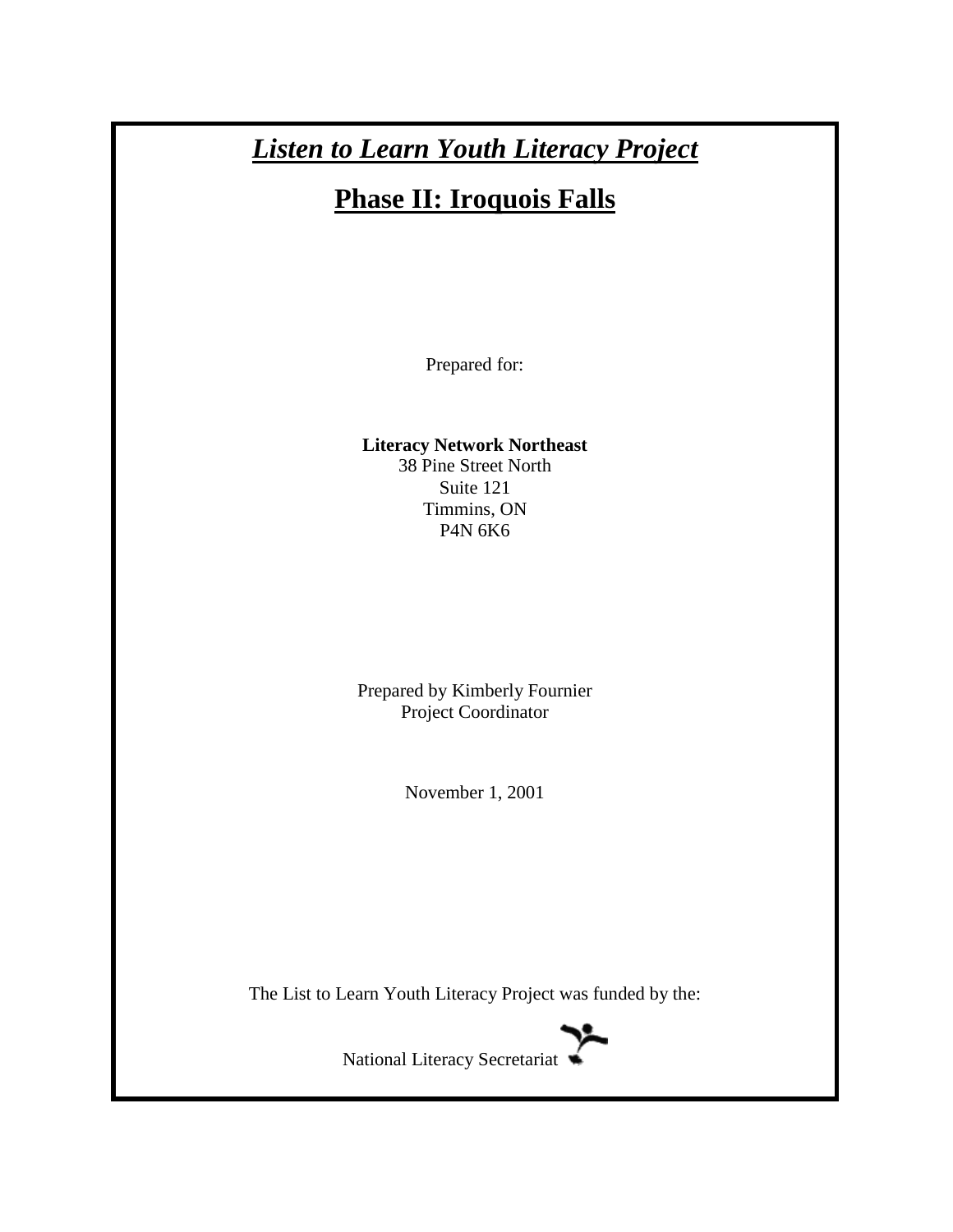# *Listen to Learn Youth Literacy Project*

# **Phase II: Iroquois Falls**

Prepared for:

**Literacy Network Northeast** 38 Pine Street North Suite 121 Timmins, ON P4N 6K6

Prepared by Kimberly Fournier Project Coordinator

November 1, 2001

The List to Learn Youth Literacy Project was funded by the:



National Literacy Secretariat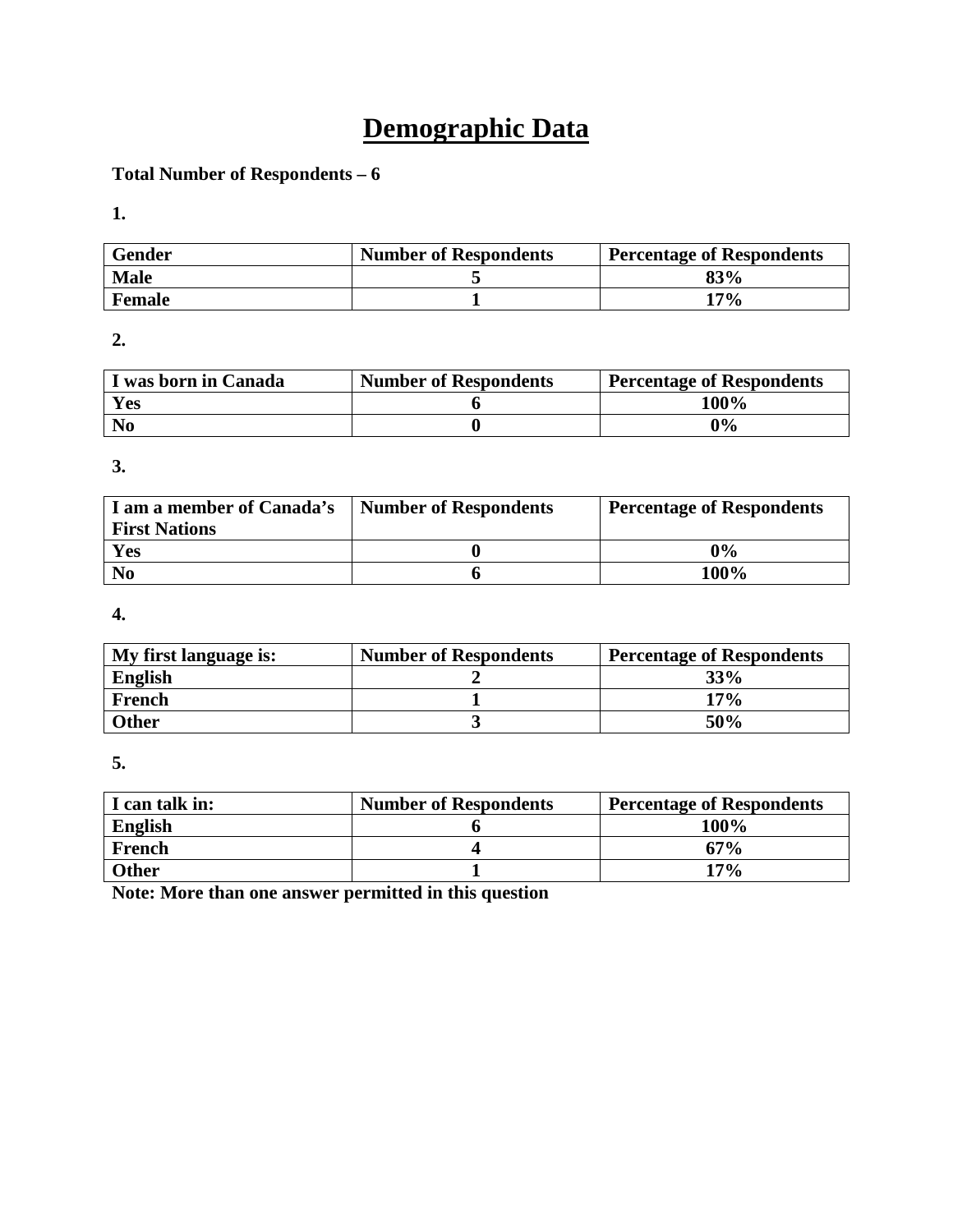# **Demographic Data**

# **Total Number of Respondents – 6**

**1.** 

| <b>Gender</b> | <b>Number of Respondents</b> | <b>Percentage of Respondents</b> |
|---------------|------------------------------|----------------------------------|
| <b>Male</b>   |                              | 83%                              |
| <b>Female</b> |                              | 17%                              |

**2.** 

| I was born in Canada | <b>Number of Respondents</b> | <b>Percentage of Respondents</b> |
|----------------------|------------------------------|----------------------------------|
| Yes                  |                              | 100%                             |
| N <sub>0</sub>       |                              | 0%                               |

**3.** 

| I am a member of Canada's<br><b>First Nations</b> | <b>Number of Respondents</b> | <b>Percentage of Respondents</b> |
|---------------------------------------------------|------------------------------|----------------------------------|
| Yes                                               |                              | $0\%$                            |
| N <sub>0</sub>                                    |                              | 100%                             |

**4.** 

| My first language is: | <b>Number of Respondents</b> | <b>Percentage of Respondents</b> |
|-----------------------|------------------------------|----------------------------------|
| <b>English</b>        |                              | 33%                              |
| French                |                              | 17%                              |
| <b>Other</b>          |                              | 50%                              |

**5.** 

| I can talk in: | <b>Number of Respondents</b> | <b>Percentage of Respondents</b> |
|----------------|------------------------------|----------------------------------|
| <b>English</b> |                              | 100%                             |
| French         |                              | 67%                              |
| <b>Other</b>   |                              | $17\%$                           |

**Note: More than one answer permitted in this question**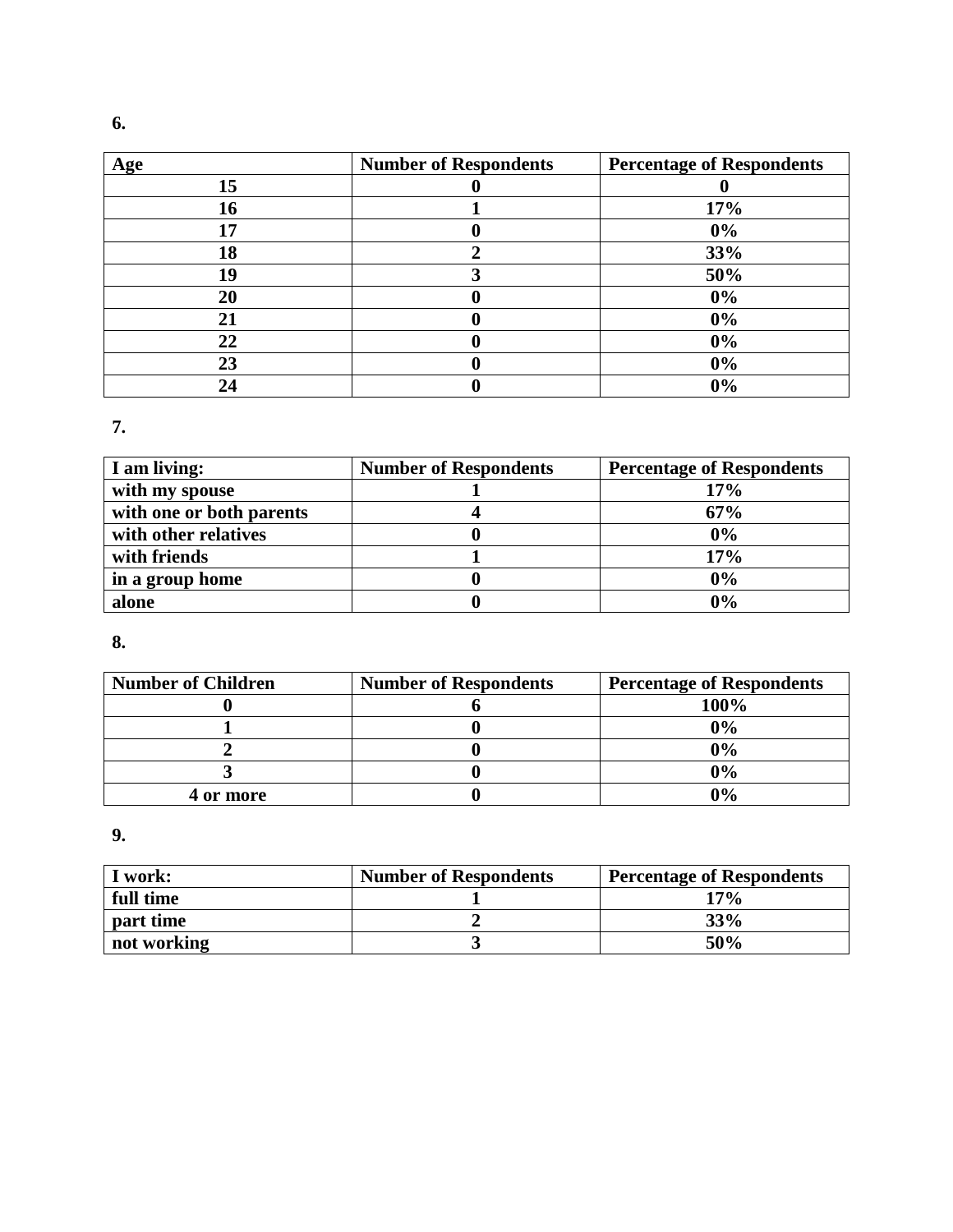| Age | <b>Number of Respondents</b> | <b>Percentage of Respondents</b> |
|-----|------------------------------|----------------------------------|
| 15  |                              |                                  |
| 16  |                              | 17%                              |
| 17  |                              | 0%                               |
| 18  |                              | 33%                              |
| 19  |                              | 50%                              |
| 20  |                              | 0%                               |
| 21  |                              | $0\%$                            |
| 22  |                              | 0%                               |
| 23  |                              | $0\%$                            |
| 24  |                              | 0%                               |

**7.** 

| I am living:             | <b>Number of Respondents</b> | <b>Percentage of Respondents</b> |
|--------------------------|------------------------------|----------------------------------|
| with my spouse           |                              | 17%                              |
| with one or both parents |                              | 67%                              |
| with other relatives     |                              | 0%                               |
| with friends             |                              | 17%                              |
| in a group home          |                              | 0%                               |
| alone                    |                              | 0%                               |

**8.** 

| <b>Number of Children</b> | <b>Number of Respondents</b> | <b>Percentage of Respondents</b> |
|---------------------------|------------------------------|----------------------------------|
|                           |                              | 100%                             |
|                           |                              | $0\%$                            |
|                           |                              | $0\%$                            |
|                           |                              | 0%                               |
| 4 or more                 |                              | 0%                               |

**9.** 

| I work:     | <b>Number of Respondents</b> | <b>Percentage of Respondents</b> |
|-------------|------------------------------|----------------------------------|
| full time   |                              | $17\%$                           |
| part time   |                              | 33%                              |
| not working |                              | 50%                              |

**6.**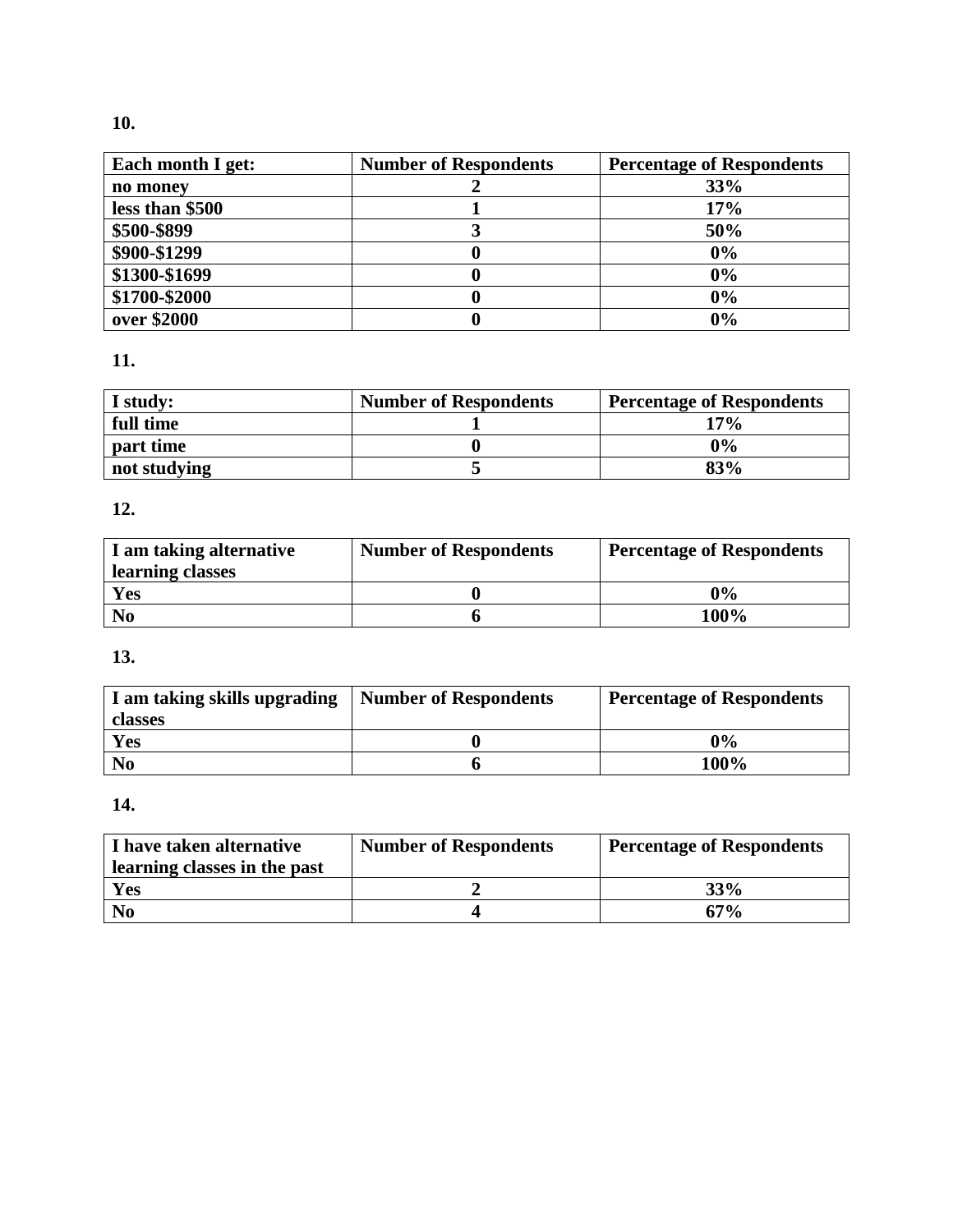# **10.**

| Each month I get: | <b>Number of Respondents</b> | <b>Percentage of Respondents</b> |
|-------------------|------------------------------|----------------------------------|
| no money          |                              | 33%                              |
| less than \$500   |                              | 17%                              |
| \$500-\$899       |                              | 50%                              |
| \$900-\$1299      |                              | 0%                               |
| \$1300-\$1699     |                              | 0%                               |
| \$1700-\$2000     |                              | 0%                               |
| over \$2000       |                              | 0%                               |

# **11.**

| I study:     | <b>Number of Respondents</b> | <b>Percentage of Respondents</b> |
|--------------|------------------------------|----------------------------------|
| full time    |                              | 17%                              |
| part time    |                              | $0\%$                            |
| not studying |                              | 83%                              |

# **12.**

| I am taking alternative | <b>Number of Respondents</b> | <b>Percentage of Respondents</b> |
|-------------------------|------------------------------|----------------------------------|
| learning classes        |                              |                                  |
| <b>Yes</b>              |                              | $0\%$                            |
| N <sub>0</sub>          |                              | 100%                             |

# **13.**

| I am taking skills upgrading | <b>Number of Respondents</b> | <b>Percentage of Respondents</b> |
|------------------------------|------------------------------|----------------------------------|
| classes                      |                              |                                  |
| Yes                          |                              | $0\%$                            |
| N <sub>0</sub>               |                              | 100%                             |

# **14.**

| I have taken alternative<br>learning classes in the past | <b>Number of Respondents</b> | <b>Percentage of Respondents</b> |
|----------------------------------------------------------|------------------------------|----------------------------------|
| Yes                                                      |                              | 33%                              |
| N <sub>0</sub>                                           |                              | $67\%$                           |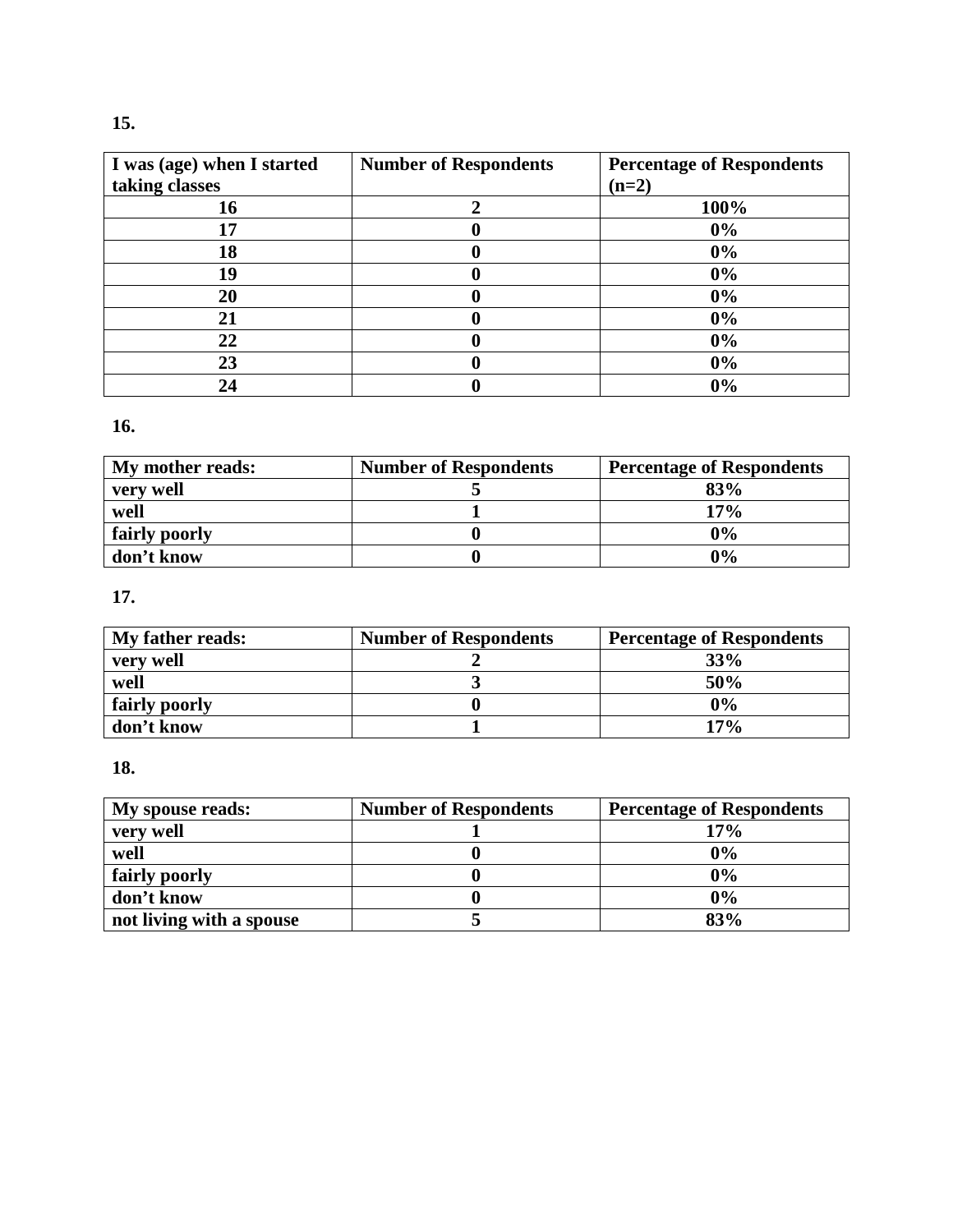| I was (age) when I started | <b>Number of Respondents</b> | <b>Percentage of Respondents</b> |
|----------------------------|------------------------------|----------------------------------|
| taking classes             |                              | $(n=2)$                          |
| 16                         |                              | 100%                             |
| 17                         |                              | 0%                               |
| 18                         |                              | 0%                               |
| 19                         |                              | 0%                               |
| 20                         |                              | $0\%$                            |
| 21                         |                              | 0%                               |
| 22                         |                              | 0%                               |
| 23                         |                              | 0%                               |
| 24                         |                              | 0%                               |

# **16.**

| My mother reads: | <b>Number of Respondents</b> | <b>Percentage of Respondents</b> |
|------------------|------------------------------|----------------------------------|
| very well        |                              | 83%                              |
| well             |                              | 17%                              |
| fairly poorly    |                              | $0\%$                            |
| don't know       |                              | $0\%$                            |

# **17.**

| My father reads: | <b>Number of Respondents</b> | <b>Percentage of Respondents</b> |
|------------------|------------------------------|----------------------------------|
| very well        |                              | 33%                              |
| well             |                              | 50%                              |
| fairly poorly    |                              | $0\%$                            |
| don't know       |                              | 17%                              |

# **18.**

| My spouse reads:         | <b>Number of Respondents</b> | <b>Percentage of Respondents</b> |
|--------------------------|------------------------------|----------------------------------|
| very well                |                              | 17%                              |
| well                     |                              | 0%                               |
| fairly poorly            |                              | 0%                               |
| don't know               |                              | 0%                               |
| not living with a spouse |                              | 83%                              |

# **15.**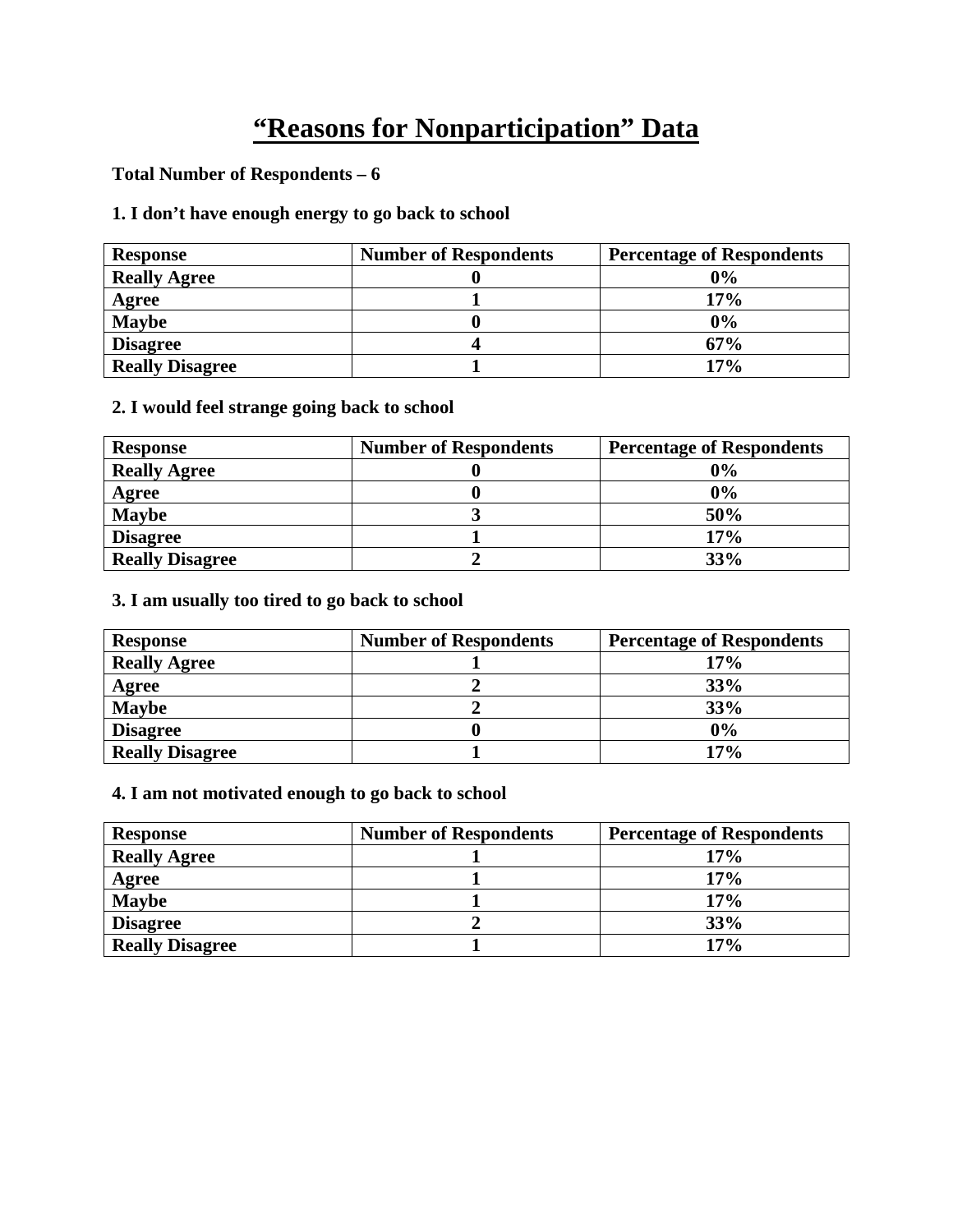# **"Reasons for Nonparticipation" Data**

### **Total Number of Respondents – 6**

# **1. I don't have enough energy to go back to school**

| <b>Response</b>        | <b>Number of Respondents</b> | <b>Percentage of Respondents</b> |
|------------------------|------------------------------|----------------------------------|
| <b>Really Agree</b>    |                              | 0%                               |
| Agree                  |                              | $17\%$                           |
| <b>Maybe</b>           |                              | 0%                               |
| <b>Disagree</b>        |                              | 67%                              |
| <b>Really Disagree</b> |                              | 17%                              |

#### **2. I would feel strange going back to school**

| <b>Response</b>        | <b>Number of Respondents</b> | <b>Percentage of Respondents</b> |
|------------------------|------------------------------|----------------------------------|
| <b>Really Agree</b>    |                              | 0%                               |
| Agree                  |                              | 0%                               |
| <b>Maybe</b>           |                              | 50%                              |
| <b>Disagree</b>        |                              | 17%                              |
| <b>Really Disagree</b> |                              | 33%                              |

#### **3. I am usually too tired to go back to school**

| <b>Response</b>        | <b>Number of Respondents</b> | <b>Percentage of Respondents</b> |
|------------------------|------------------------------|----------------------------------|
| <b>Really Agree</b>    |                              | 17%                              |
| Agree                  |                              | 33%                              |
| <b>Maybe</b>           |                              | 33%                              |
| <b>Disagree</b>        |                              | 0%                               |
| <b>Really Disagree</b> |                              | 17%                              |

#### **4. I am not motivated enough to go back to school**

| <b>Response</b>        | <b>Number of Respondents</b> | <b>Percentage of Respondents</b> |
|------------------------|------------------------------|----------------------------------|
| <b>Really Agree</b>    |                              | 17%                              |
| <b>Agree</b>           |                              | 17%                              |
| <b>Maybe</b>           |                              | 17%                              |
| <b>Disagree</b>        |                              | 33%                              |
| <b>Really Disagree</b> |                              | 17%                              |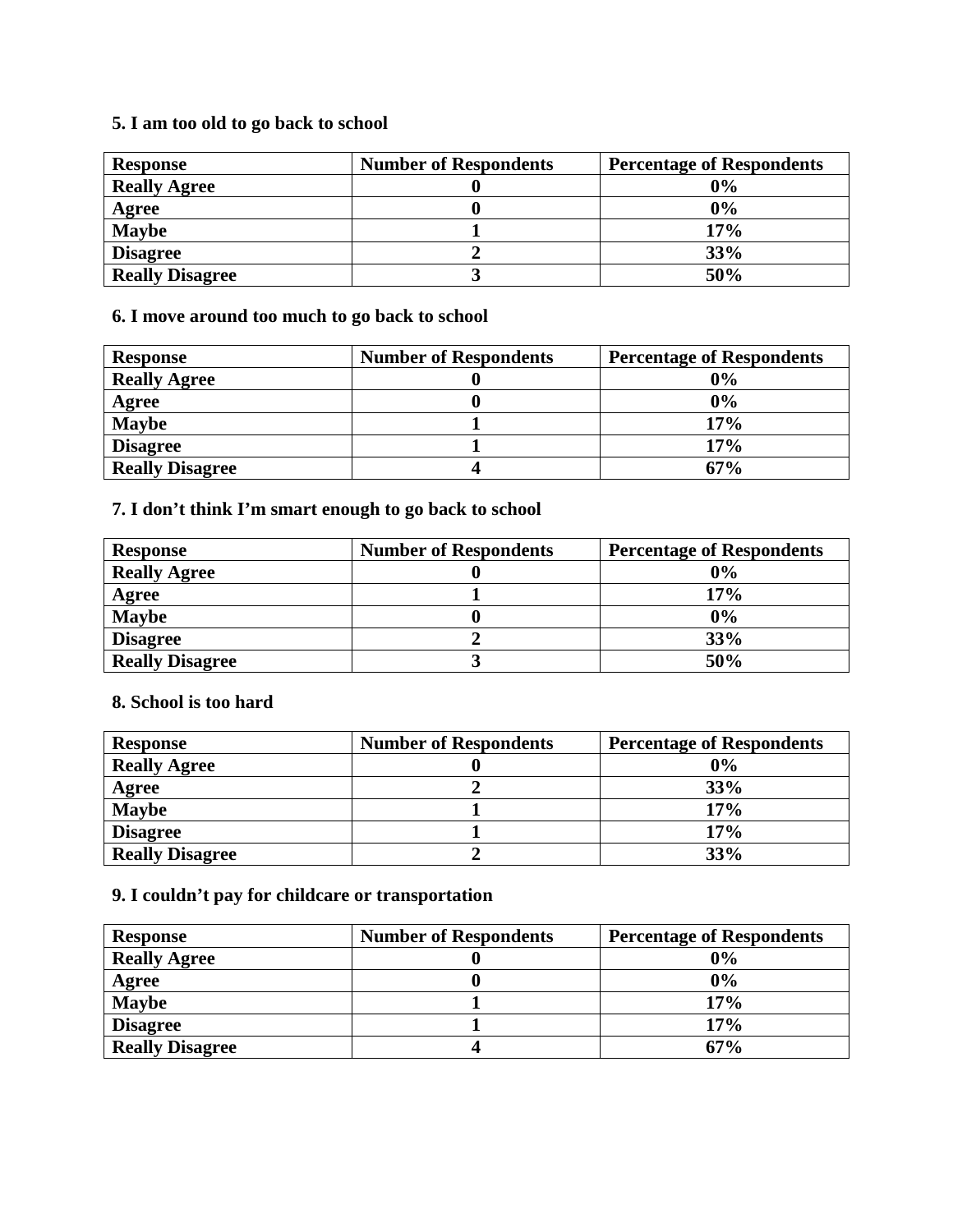## **5. I am too old to go back to school**

| <b>Response</b>        | <b>Number of Respondents</b> | <b>Percentage of Respondents</b> |
|------------------------|------------------------------|----------------------------------|
| <b>Really Agree</b>    |                              | 0%                               |
| Agree                  |                              | 0%                               |
| <b>Maybe</b>           |                              | 17%                              |
| <b>Disagree</b>        |                              | 33%                              |
| <b>Really Disagree</b> |                              | 50%                              |

### **6. I move around too much to go back to school**

| <b>Response</b>        | <b>Number of Respondents</b> | <b>Percentage of Respondents</b> |
|------------------------|------------------------------|----------------------------------|
| <b>Really Agree</b>    |                              | 0%                               |
| Agree                  |                              | 0%                               |
| <b>Maybe</b>           |                              | 17%                              |
| <b>Disagree</b>        |                              | 17%                              |
| <b>Really Disagree</b> |                              | 67%                              |

## **7. I don't think I'm smart enough to go back to school**

| <b>Response</b>        | <b>Number of Respondents</b> | <b>Percentage of Respondents</b> |
|------------------------|------------------------------|----------------------------------|
| <b>Really Agree</b>    |                              | 0%                               |
| Agree                  |                              | 17%                              |
| <b>Maybe</b>           |                              | 0%                               |
| <b>Disagree</b>        |                              | 33%                              |
| <b>Really Disagree</b> |                              | 50%                              |

#### **8. School is too hard**

| <b>Response</b>        | <b>Number of Respondents</b> | <b>Percentage of Respondents</b> |
|------------------------|------------------------------|----------------------------------|
| <b>Really Agree</b>    |                              | 0%                               |
| Agree                  |                              | 33%                              |
| <b>Maybe</b>           |                              | 17%                              |
| <b>Disagree</b>        |                              | 17%                              |
| <b>Really Disagree</b> |                              | 33%                              |

# **9. I couldn't pay for childcare or transportation**

| <b>Response</b>        | <b>Number of Respondents</b> | <b>Percentage of Respondents</b> |
|------------------------|------------------------------|----------------------------------|
| <b>Really Agree</b>    |                              | 0%                               |
| Agree                  |                              | 0%                               |
| <b>Maybe</b>           |                              | 17%                              |
| <b>Disagree</b>        |                              | 17%                              |
| <b>Really Disagree</b> |                              | 67%                              |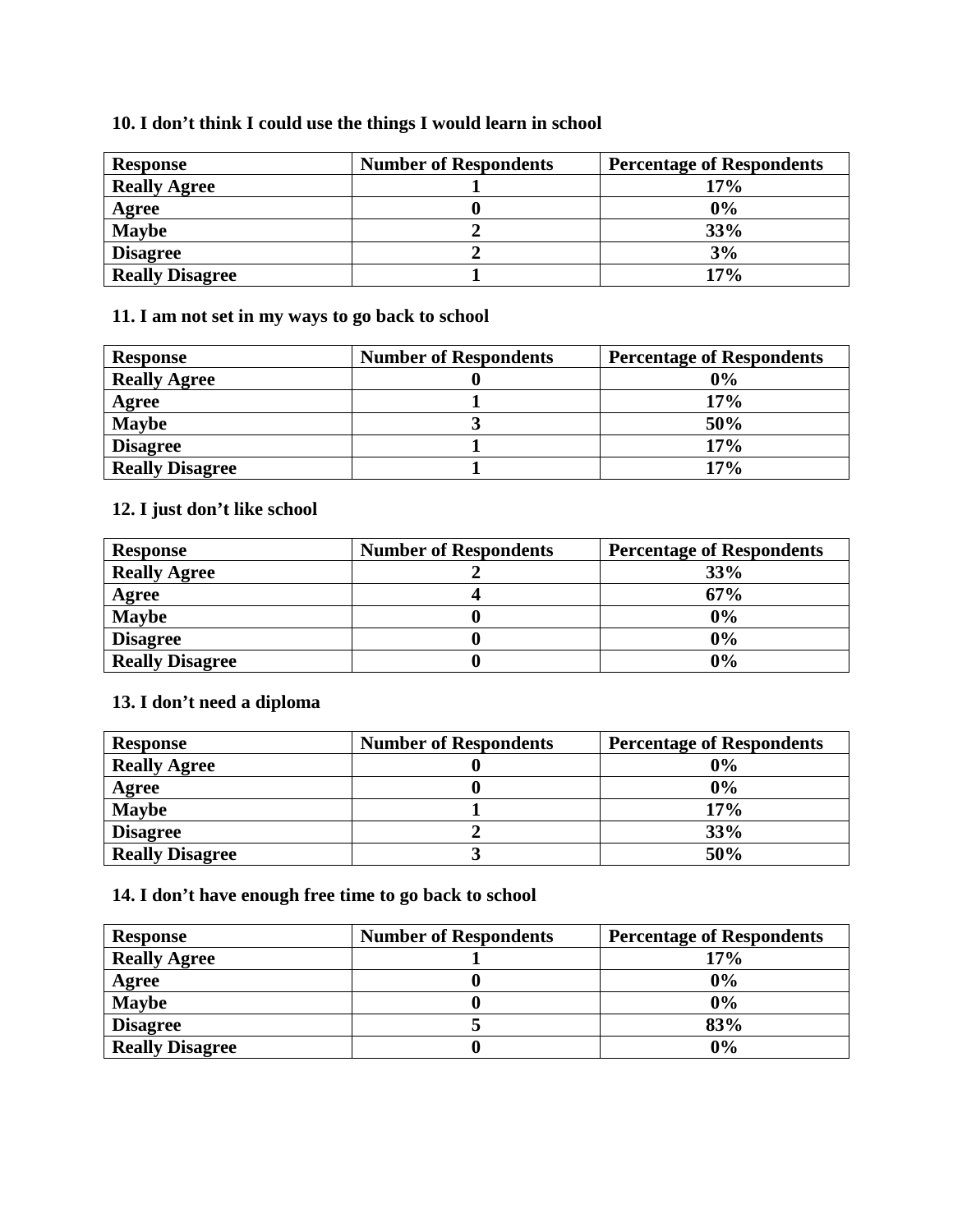## **10. I don't think I could use the things I would learn in school**

| <b>Response</b>        | <b>Number of Respondents</b> | <b>Percentage of Respondents</b> |
|------------------------|------------------------------|----------------------------------|
| <b>Really Agree</b>    |                              | 17%                              |
| <b>Agree</b>           |                              | 0%                               |
| <b>Maybe</b>           |                              | 33%                              |
| <b>Disagree</b>        |                              | 3%                               |
| <b>Really Disagree</b> |                              | 17%                              |

### **11. I am not set in my ways to go back to school**

| <b>Response</b>        | <b>Number of Respondents</b> | <b>Percentage of Respondents</b> |
|------------------------|------------------------------|----------------------------------|
| <b>Really Agree</b>    |                              | 0%                               |
| <b>Agree</b>           |                              | 17%                              |
| <b>Maybe</b>           |                              | 50%                              |
| <b>Disagree</b>        |                              | 17%                              |
| <b>Really Disagree</b> |                              | 17%                              |

# **12. I just don't like school**

| <b>Response</b>        | <b>Number of Respondents</b> | <b>Percentage of Respondents</b> |
|------------------------|------------------------------|----------------------------------|
| <b>Really Agree</b>    |                              | 33%                              |
| Agree                  |                              | 67%                              |
| <b>Maybe</b>           |                              | 0%                               |
| <b>Disagree</b>        |                              | 0%                               |
| <b>Really Disagree</b> |                              | 0%                               |

## **13. I don't need a diploma**

| <b>Response</b>        | <b>Number of Respondents</b> | <b>Percentage of Respondents</b> |
|------------------------|------------------------------|----------------------------------|
| <b>Really Agree</b>    |                              | 0%                               |
| Agree                  |                              | 0%                               |
| <b>Maybe</b>           |                              | 17%                              |
| <b>Disagree</b>        |                              | 33%                              |
| <b>Really Disagree</b> |                              | 50%                              |

# **14. I don't have enough free time to go back to school**

| <b>Response</b>        | <b>Number of Respondents</b> | <b>Percentage of Respondents</b> |
|------------------------|------------------------------|----------------------------------|
| <b>Really Agree</b>    |                              | 17%                              |
| Agree                  |                              | 0%                               |
| <b>Maybe</b>           |                              | 0%                               |
| <b>Disagree</b>        |                              | 83%                              |
| <b>Really Disagree</b> |                              | 0%                               |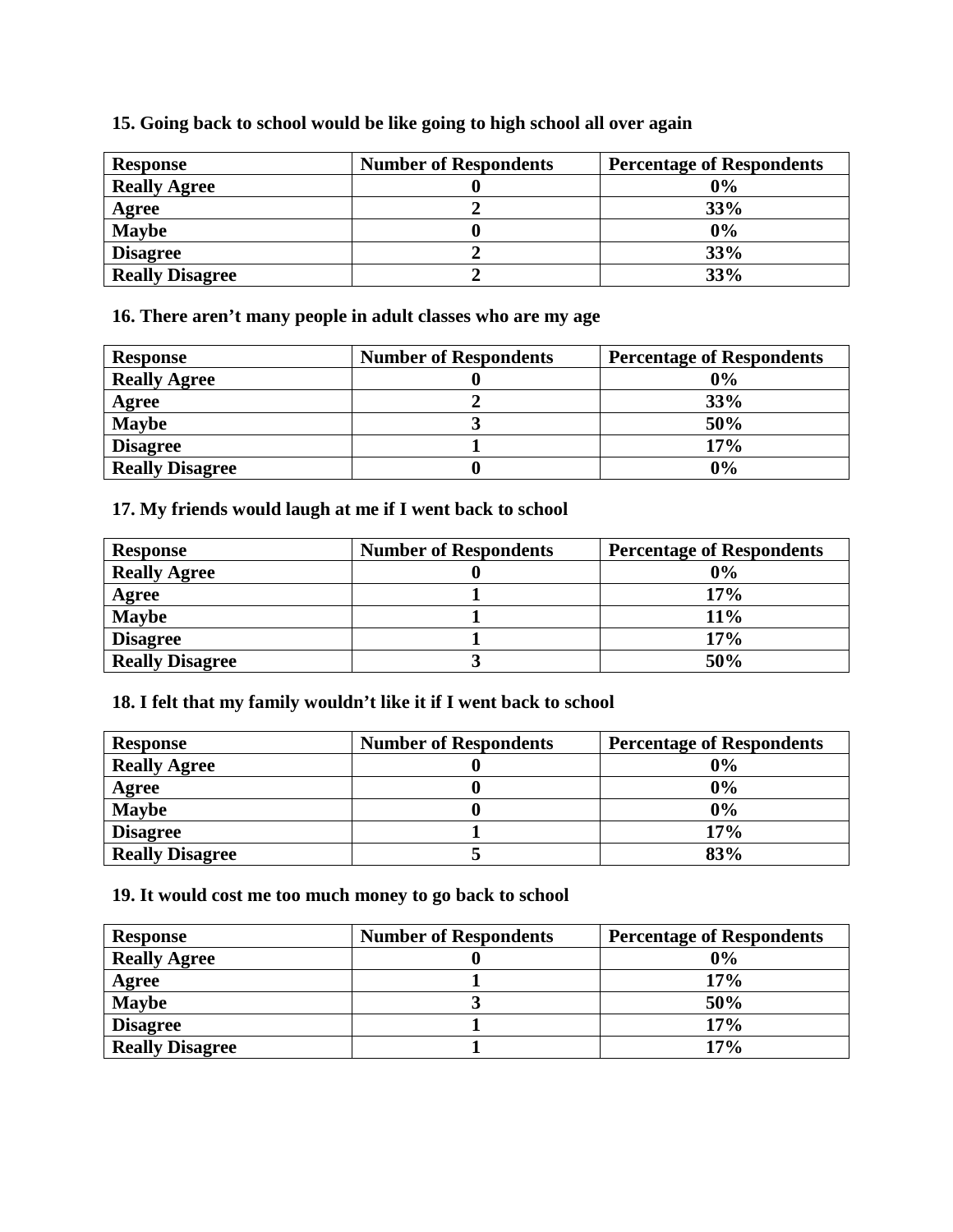| <b>Response</b>        | <b>Number of Respondents</b> | <b>Percentage of Respondents</b> |
|------------------------|------------------------------|----------------------------------|
| <b>Really Agree</b>    |                              | 0%                               |
| Agree                  |                              | 33%                              |
| <b>Maybe</b>           |                              | 0%                               |
| <b>Disagree</b>        |                              | 33%                              |
| <b>Really Disagree</b> |                              | 33%                              |

#### **15. Going back to school would be like going to high school all over again**

**16. There aren't many people in adult classes who are my age** 

| <b>Response</b>        | <b>Number of Respondents</b> | <b>Percentage of Respondents</b> |
|------------------------|------------------------------|----------------------------------|
| <b>Really Agree</b>    |                              | 0%                               |
| Agree                  |                              | 33%                              |
| <b>Maybe</b>           |                              | 50%                              |
| <b>Disagree</b>        |                              | 17%                              |
| <b>Really Disagree</b> |                              | 0%                               |

### **17. My friends would laugh at me if I went back to school**

| <b>Response</b>        | <b>Number of Respondents</b> | <b>Percentage of Respondents</b> |
|------------------------|------------------------------|----------------------------------|
| <b>Really Agree</b>    |                              | $0\%$                            |
| <b>Agree</b>           |                              | 17%                              |
| <b>Maybe</b>           |                              | 11%                              |
| <b>Disagree</b>        |                              | 17%                              |
| <b>Really Disagree</b> |                              | 50%                              |

#### **18. I felt that my family wouldn't like it if I went back to school**

| <b>Response</b>        | <b>Number of Respondents</b> | <b>Percentage of Respondents</b> |
|------------------------|------------------------------|----------------------------------|
| <b>Really Agree</b>    |                              | 0%                               |
| Agree                  |                              | 0%                               |
| <b>Maybe</b>           |                              | 0%                               |
| <b>Disagree</b>        |                              | 17%                              |
| <b>Really Disagree</b> |                              | 83%                              |

#### **19. It would cost me too much money to go back to school**

| <b>Response</b>        | <b>Number of Respondents</b> | <b>Percentage of Respondents</b> |
|------------------------|------------------------------|----------------------------------|
| <b>Really Agree</b>    |                              | 0%                               |
| Agree                  |                              | 17%                              |
| <b>Maybe</b>           |                              | 50%                              |
| <b>Disagree</b>        |                              | 17%                              |
| <b>Really Disagree</b> |                              | 17%                              |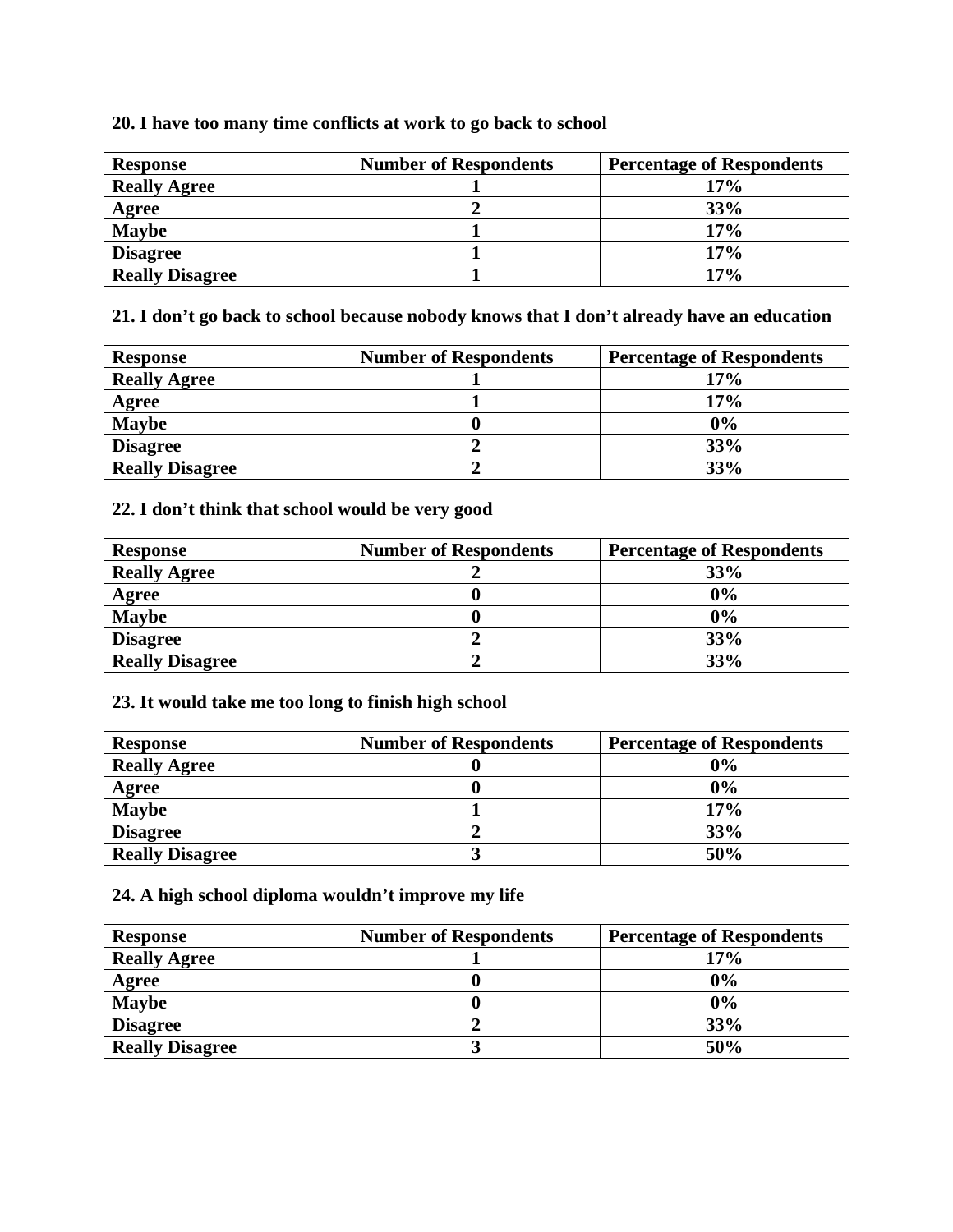#### **20. I have too many time conflicts at work to go back to school**

| <b>Response</b>        | <b>Number of Respondents</b> | <b>Percentage of Respondents</b> |
|------------------------|------------------------------|----------------------------------|
| <b>Really Agree</b>    |                              | 17%                              |
| <b>Agree</b>           |                              | 33%                              |
| <b>Maybe</b>           |                              | 17%                              |
| <b>Disagree</b>        |                              | 17%                              |
| <b>Really Disagree</b> |                              | 17%                              |

**21. I don't go back to school because nobody knows that I don't already have an education** 

| <b>Response</b>        | <b>Number of Respondents</b> | <b>Percentage of Respondents</b> |
|------------------------|------------------------------|----------------------------------|
| <b>Really Agree</b>    |                              | 17%                              |
| Agree                  |                              | 17%                              |
| <b>Maybe</b>           |                              | $0\%$                            |
| <b>Disagree</b>        |                              | 33%                              |
| <b>Really Disagree</b> |                              | 33%                              |

## **22. I don't think that school would be very good**

| <b>Response</b>        | <b>Number of Respondents</b> | <b>Percentage of Respondents</b> |
|------------------------|------------------------------|----------------------------------|
| <b>Really Agree</b>    |                              | 33%                              |
| Agree                  |                              | 0%                               |
| <b>Maybe</b>           |                              | 0%                               |
| <b>Disagree</b>        |                              | 33%                              |
| <b>Really Disagree</b> |                              | 33%                              |

#### **23. It would take me too long to finish high school**

| <b>Response</b>        | <b>Number of Respondents</b> | <b>Percentage of Respondents</b> |
|------------------------|------------------------------|----------------------------------|
| <b>Really Agree</b>    |                              | $0\%$                            |
| Agree                  |                              | 0%                               |
| <b>Maybe</b>           |                              | 17%                              |
| <b>Disagree</b>        |                              | 33%                              |
| <b>Really Disagree</b> |                              | 50%                              |

#### **24. A high school diploma wouldn't improve my life**

| <b>Response</b>        | <b>Number of Respondents</b> | <b>Percentage of Respondents</b> |
|------------------------|------------------------------|----------------------------------|
| <b>Really Agree</b>    |                              | 17%                              |
| Agree                  |                              | 0%                               |
| <b>Maybe</b>           |                              | 0%                               |
| <b>Disagree</b>        |                              | 33%                              |
| <b>Really Disagree</b> |                              | 50%                              |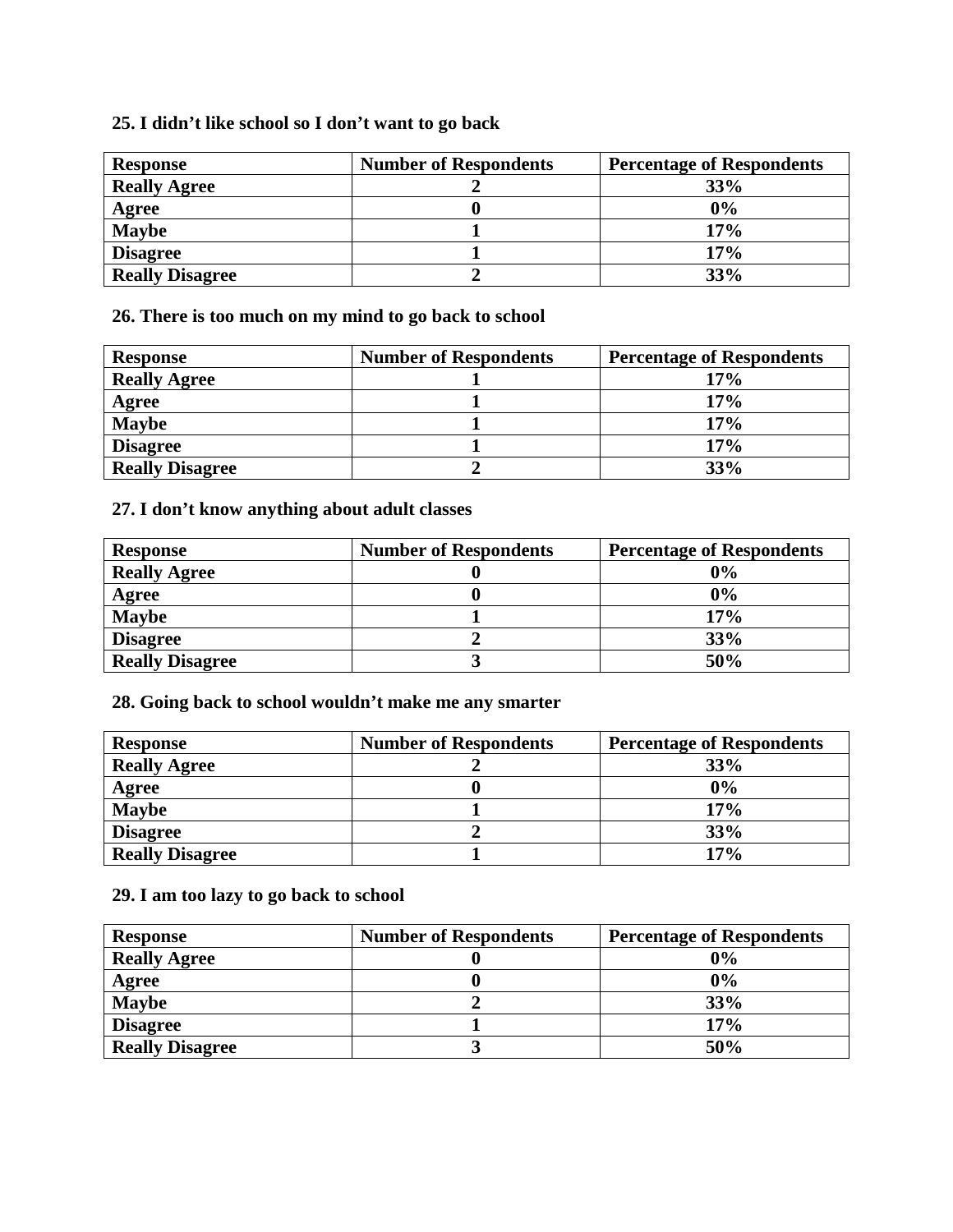### **25. I didn't like school so I don't want to go back**

| <b>Response</b>        | <b>Number of Respondents</b> | <b>Percentage of Respondents</b> |
|------------------------|------------------------------|----------------------------------|
| <b>Really Agree</b>    |                              | 33%                              |
| Agree                  |                              | 0%                               |
| <b>Maybe</b>           |                              | 17%                              |
| <b>Disagree</b>        |                              | 17%                              |
| <b>Really Disagree</b> |                              | 33%                              |

**26. There is too much on my mind to go back to school** 

| <b>Response</b>        | <b>Number of Respondents</b> | <b>Percentage of Respondents</b> |
|------------------------|------------------------------|----------------------------------|
| <b>Really Agree</b>    |                              | 17%                              |
| Agree                  |                              | 17%                              |
| <b>Maybe</b>           |                              | 17%                              |
| <b>Disagree</b>        |                              | 17%                              |
| <b>Really Disagree</b> |                              | 33%                              |

## **27. I don't know anything about adult classes**

| <b>Response</b>        | <b>Number of Respondents</b> | <b>Percentage of Respondents</b> |
|------------------------|------------------------------|----------------------------------|
| <b>Really Agree</b>    |                              | 0%                               |
| Agree                  |                              | 0%                               |
| <b>Maybe</b>           |                              | 17%                              |
| <b>Disagree</b>        |                              | 33%                              |
| <b>Really Disagree</b> |                              | 50%                              |

**28. Going back to school wouldn't make me any smarter** 

| <b>Response</b>        | <b>Number of Respondents</b> | <b>Percentage of Respondents</b> |
|------------------------|------------------------------|----------------------------------|
| <b>Really Agree</b>    |                              | 33%                              |
| Agree                  |                              | 0%                               |
| <b>Maybe</b>           |                              | 17%                              |
| <b>Disagree</b>        |                              | 33%                              |
| <b>Really Disagree</b> |                              | 17%                              |

## **29. I am too lazy to go back to school**

| <b>Response</b>        | <b>Number of Respondents</b> | <b>Percentage of Respondents</b> |
|------------------------|------------------------------|----------------------------------|
| <b>Really Agree</b>    |                              | 0%                               |
| Agree                  |                              | 0%                               |
| <b>Maybe</b>           |                              | 33%                              |
| <b>Disagree</b>        |                              | 17%                              |
| <b>Really Disagree</b> |                              | 50%                              |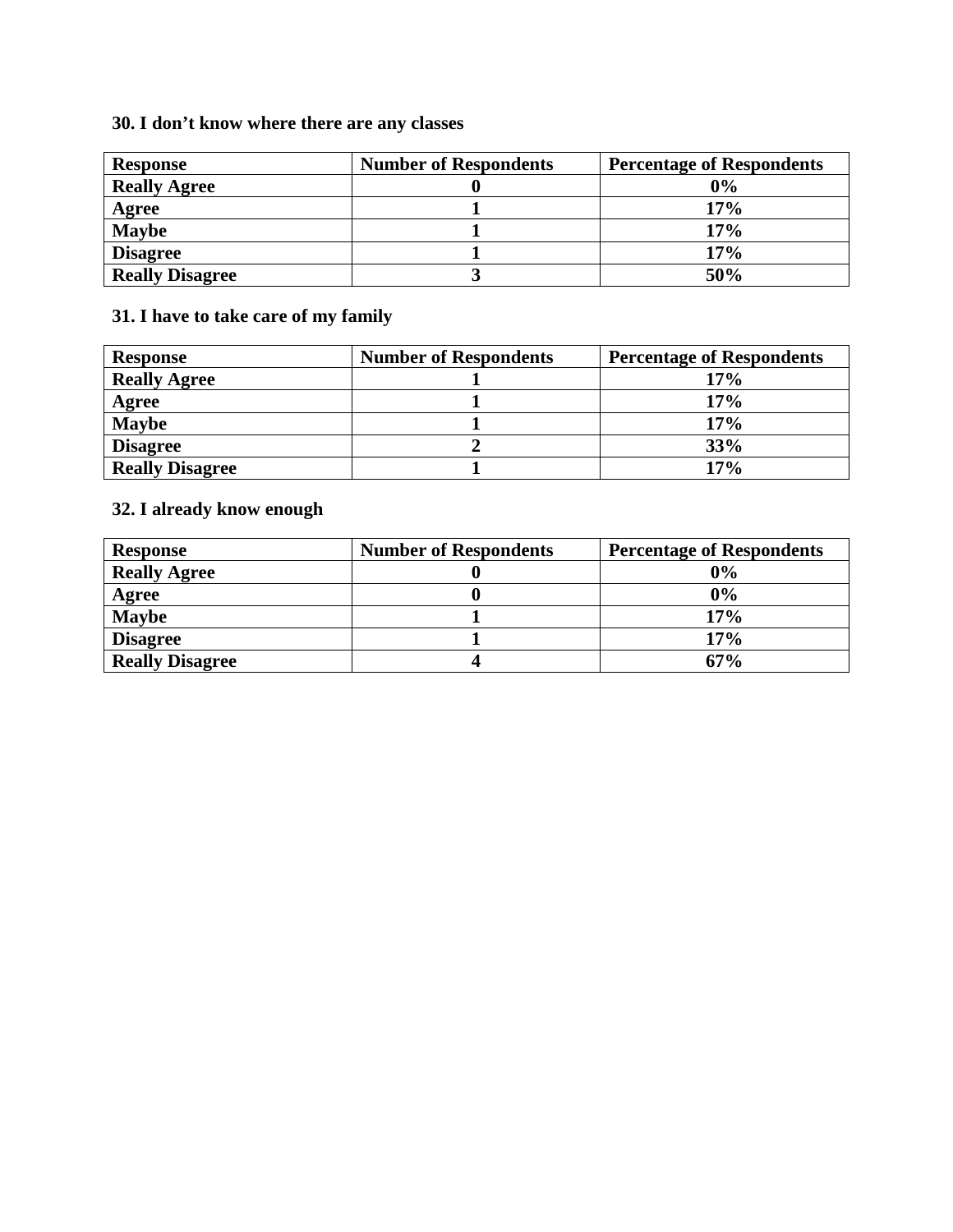# **30. I don't know where there are any classes**

| <b>Response</b>        | <b>Number of Respondents</b> | <b>Percentage of Respondents</b> |
|------------------------|------------------------------|----------------------------------|
| <b>Really Agree</b>    |                              | 0%                               |
| Agree                  |                              | 17%                              |
| <b>Maybe</b>           |                              | 17%                              |
| <b>Disagree</b>        |                              | 17%                              |
| <b>Really Disagree</b> |                              | 50%                              |

# **31. I have to take care of my family**

| <b>Response</b>        | <b>Number of Respondents</b> | <b>Percentage of Respondents</b> |
|------------------------|------------------------------|----------------------------------|
| <b>Really Agree</b>    |                              | 17%                              |
| Agree                  |                              | 17%                              |
| <b>Maybe</b>           |                              | 17%                              |
| <b>Disagree</b>        |                              | 33%                              |
| <b>Really Disagree</b> |                              | 17%                              |

# **32. I already know enough**

| <b>Response</b>        | <b>Number of Respondents</b> | <b>Percentage of Respondents</b> |
|------------------------|------------------------------|----------------------------------|
| <b>Really Agree</b>    |                              | $0\%$                            |
| Agree                  |                              | 0%                               |
| <b>Maybe</b>           |                              | 17%                              |
| <b>Disagree</b>        |                              | 17%                              |
| <b>Really Disagree</b> |                              | 67%                              |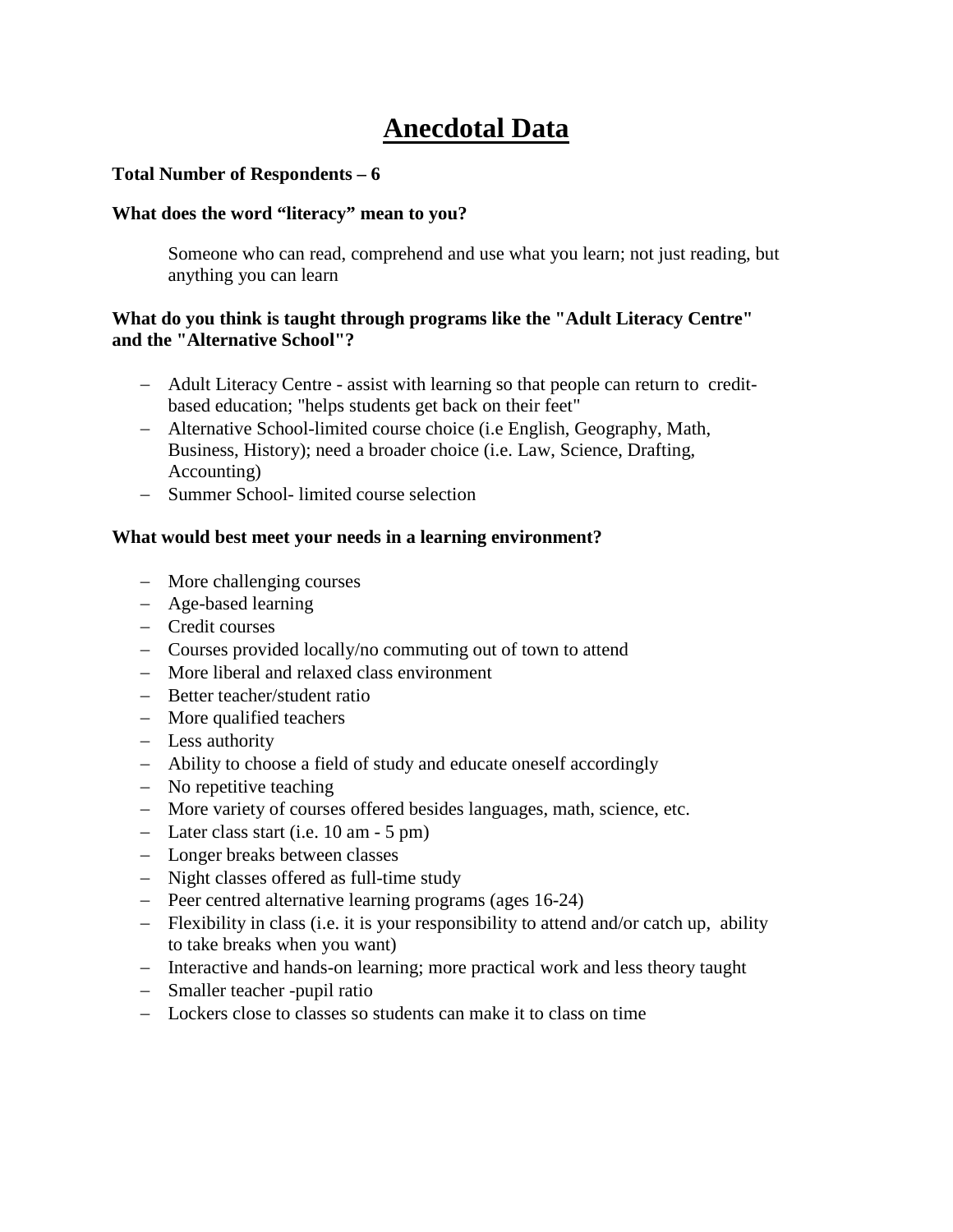# **Anecdotal Data**

#### **Total Number of Respondents – 6**

#### **What does the word "literacy" mean to you?**

Someone who can read, comprehend and use what you learn; not just reading, but anything you can learn

#### **What do you think is taught through programs like the "Adult Literacy Centre" and the "Alternative School"?**

- − Adult Literacy Centre assist with learning so that people can return to creditbased education; "helps students get back on their feet"
- − Alternative School-limited course choice (i.e English, Geography, Math, Business, History); need a broader choice (i.e. Law, Science, Drafting, Accounting)
- − Summer School- limited course selection

#### **What would best meet your needs in a learning environment?**

- − More challenging courses
- − Age-based learning
- − Credit courses
- − Courses provided locally/no commuting out of town to attend
- − More liberal and relaxed class environment
- − Better teacher/student ratio
- − More qualified teachers
- − Less authority
- − Ability to choose a field of study and educate oneself accordingly
- − No repetitive teaching
- − More variety of courses offered besides languages, math, science, etc.
- − Later class start (i.e. 10 am 5 pm)
- − Longer breaks between classes
- − Night classes offered as full-time study
- − Peer centred alternative learning programs (ages 16-24)
- − Flexibility in class (i.e. it is your responsibility to attend and/or catch up, ability to take breaks when you want)
- − Interactive and hands-on learning; more practical work and less theory taught
- − Smaller teacher -pupil ratio
- − Lockers close to classes so students can make it to class on time